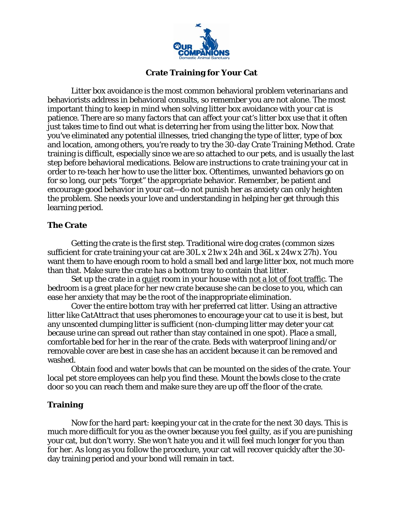

## **Crate Training for Your Cat**

Litter box avoidance is the most common behavioral problem veterinarians and behaviorists address in behavioral consults, so remember you are not alone. The most important thing to keep in mind when solving litter box avoidance with your cat is patience. There are so many factors that can affect your cat's litter box use that it often just takes time to find out what is deterring her from using the litter box. Now that you've eliminated any potential illnesses, tried changing the type of litter, type of box and location, among others, you're ready to try the 30-day Crate Training Method. Crate training is difficult, especially since we are so attached to our pets, and is usually the last step before behavioral medications. Below are instructions to crate training your cat in order to re-teach her how to use the litter box. Oftentimes, unwanted behaviors go on for so long, our pets "forget" the appropriate behavior. Remember, be patient and encourage good behavior in your cat—do not punish her as anxiety can only heighten the problem. She needs your love and understanding in helping her get through this learning period.

## **The Crate**

 Getting the crate is the first step. Traditional wire dog crates (common sizes sufficient for crate training your cat are 30L x 21w x 24h and 36L x 24w x 27h). You want them to have enough room to hold a small bed and large litter box, not much more than that. Make sure the crate has a bottom tray to contain that litter.

 Set up the crate in a quiet room in your house with not a lot of foot traffic. The bedroom is a great place for her new crate because she can be close to you, which can ease her anxiety that may be the root of the inappropriate elimination.

Cover the entire bottom tray with her preferred cat litter. Using an attractive litter like *CatAttract* that uses pheromones to encourage your cat to use it is best, but any unscented clumping litter is sufficient (non-clumping litter may deter your cat because urine can spread out rather than stay contained in one spot). Place a small, comfortable bed for her in the rear of the crate. Beds with waterproof lining and/or removable cover are best in case she has an accident because it can be removed and washed.

Obtain food and water bowls that can be mounted on the sides of the crate. Your local pet store employees can help you find these. Mount the bowls close to the crate door so you can reach them and make sure they are up off the floor of the crate.

## **Training**

 Now for the hard part: keeping your cat in the crate for the next 30 days. This is much more difficult for you as the owner because you feel guilty, as if you are punishing your cat, but don't worry. She won't hate you and it will feel much longer for you than for her. As long as you follow the procedure, your cat will recover quickly after the 30 day training period and your bond will remain in tact.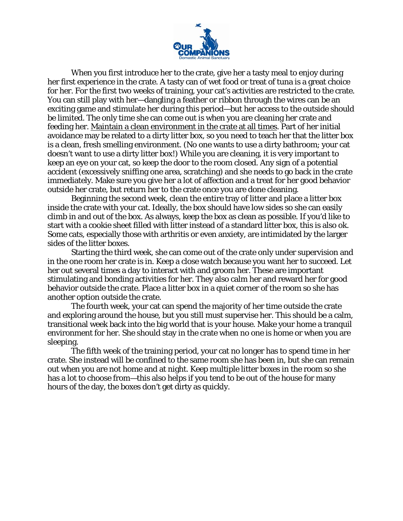

 When you first introduce her to the crate, give her a tasty meal to enjoy during her first experience in the crate. A tasty can of wet food or treat of tuna is a great choice for her. For the first two weeks of training, your cat's activities are restricted to the crate. You can still play with her—dangling a feather or ribbon through the wires can be an exciting game and stimulate her during this period—but her access to the outside should be limited. The only time she can come out is when you are cleaning her crate and feeding her. Maintain a clean environment in the crate at all times. Part of her initial avoidance may be related to a dirty litter box, so you need to teach her that the litter box is a clean, fresh smelling environment. (No one wants to use a dirty bathroom; your cat doesn't want to use a dirty litter box!) While you are cleaning, it is very important to keep an eye on your cat, so keep the door to the room closed. Any sign of a potential accident (excessively sniffing one area, scratching) and she needs to go back in the crate immediately. Make sure you give her a lot of affection and a treat for her good behavior outside her crate, but return her to the crate once you are done cleaning.

 Beginning the second week, clean the entire tray of litter and place a litter box inside the crate with your cat. Ideally, the box should have low sides so she can easily climb in and out of the box. As always, keep the box as clean as possible. If you'd like to start with a cookie sheet filled with litter instead of a standard litter box, this is also ok. Some cats, especially those with arthritis or even anxiety, are intimidated by the larger sides of the litter boxes.

 Starting the third week, she can come out of the crate only under supervision and in the one room her crate is in. Keep a close watch because you want her to succeed. Let her out several times a day to interact with and groom her. These are important stimulating and bonding activities for her. They also calm her and reward her for good behavior outside the crate. Place a litter box in a quiet corner of the room so she has another option outside the crate.

 The fourth week, your cat can spend the majority of her time outside the crate and exploring around the house, but you still must supervise her. This should be a calm, transitional week back into the big world that is your house. Make your home a tranquil environment for her. She should stay in the crate when no one is home or when you are sleeping.

 The fifth week of the training period, your cat no longer has to spend time in her crate. She instead will be confined to the same room she has been in, but she can remain out when you are not home and at night. Keep multiple litter boxes in the room so she has a lot to choose from—this also helps if you tend to be out of the house for many hours of the day, the boxes don't get dirty as quickly.